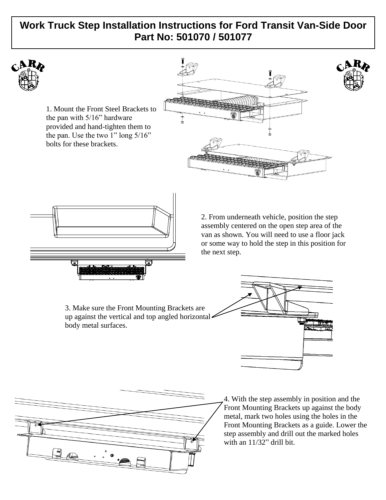# **Work Truck Step Installation Instructions for Ford Transit Van-Side Door Part No: 501070 / 501077**



1. Mount the Front Steel Brackets to the pan with 5/16" hardware provided and hand-tighten them to the pan. Use the two 1" long 5/16" bolts for these brackets.





2. From underneath vehicle, position the step assembly centered on the open step area of the van as shown. You will need to use a floor jack or some way to hold the step in this position for the next step.

3. Make sure the Front Mounting Brackets are up against the vertical and top angled horizontal body metal surfaces.





4. With the step assembly in position and the Front Mounting Brackets up against the body metal, mark two holes using the holes in the Front Mounting Brackets as a guide. Lower the step assembly and drill out the marked holes with an 11/32" drill bit.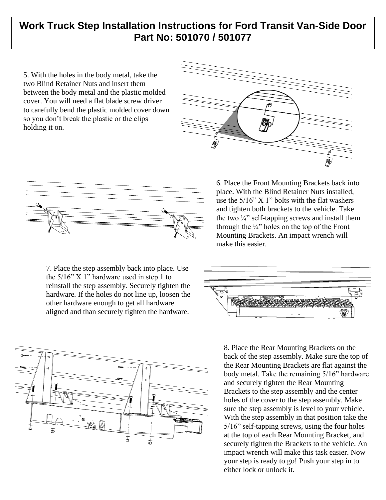# **Work Truck Step Installation Instructions for Ford Transit Van-Side Door Part No: 501070 / 501077**

5. With the holes in the body metal, take the two Blind Retainer Nuts and insert them between the body metal and the plastic molded cover. You will need a flat blade screw driver to carefully bend the plastic molded cover down so you don't break the plastic or the clips holding it on.





7. Place the step assembly back into place. Use the  $5/16$ " X 1" hardware used in step 1 to reinstall the step assembly. Securely tighten the hardware. If the holes do not line up, loosen the other hardware enough to get all hardware aligned and than securely tighten the hardware.



6. Place the Front Mounting Brackets back into place. With the Blind Retainer Nuts installed, use the 5/16" X 1" bolts with the flat washers and tighten both brackets to the vehicle. Take the two  $\frac{1}{4}$ " self-tapping screws and install them through the  $\frac{1}{4}$  holes on the top of the Front Mounting Brackets. An impact wrench will make this easier.



8. Place the Rear Mounting Brackets on the back of the step assembly. Make sure the top of the Rear Mounting Brackets are flat against the body metal. Take the remaining 5/16" hardware and securely tighten the Rear Mounting Brackets to the step assembly and the center holes of the cover to the step assembly. Make sure the step assembly is level to your vehicle. With the step assembly in that position take the 5/16" self-tapping screws, using the four holes at the top of each Rear Mounting Bracket, and securely tighten the Brackets to the vehicle. An impact wrench will make this task easier. Now your step is ready to go! Push your step in to either lock or unlock it.